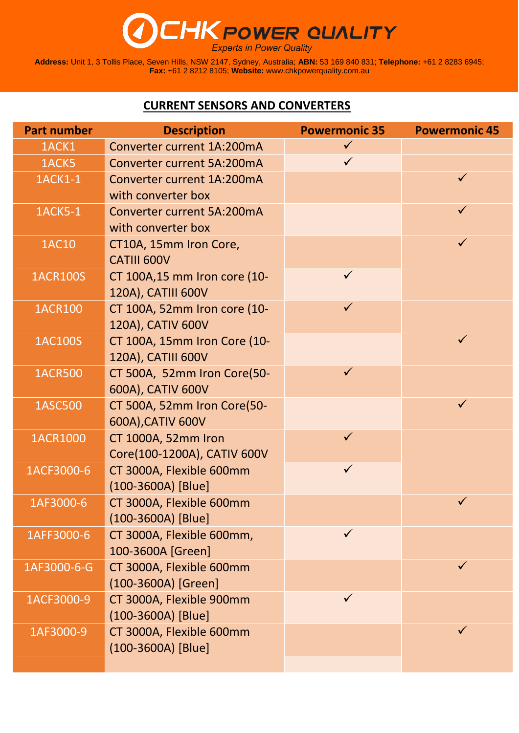# **CHK POWER QUALITY**

**Address:** Unit 1, 3 Tollis Place, Seven Hills, NSW 2147, Sydney, Australia; **ABN:** 53 169 840 831; **Telephone:** +61 2 8283 6945; **Fax:** +61 2 8212 8105; **Website:** [www.chkpowerquality.com.au](http://www.chkpowerquality.com.au/)

#### **CURRENT SENSORS AND CONVERTERS**

| <b>Part number</b> | <b>Description</b>                       | <b>Powermonic 35</b> | <b>Powermonic 45</b> |
|--------------------|------------------------------------------|----------------------|----------------------|
| 1ACK1              | Converter current 1A:200mA               | $\checkmark$         |                      |
| 1ACK5              | <b>Converter current 5A:200mA</b>        | $\checkmark$         |                      |
| 1ACK1-1            | Converter current 1A:200mA               |                      | $\checkmark$         |
|                    | with converter box                       |                      |                      |
| <b>1ACK5-1</b>     | <b>Converter current 5A:200mA</b>        |                      | $\checkmark$         |
|                    | with converter box                       |                      |                      |
| <b>1AC10</b>       | CT10A, 15mm Iron Core,                   |                      | $\checkmark$         |
|                    | <b>CATIII 600V</b>                       |                      |                      |
| <b>1ACR100S</b>    | CT 100A,15 mm Iron core (10-             | $\checkmark$         |                      |
|                    | 120A), CATIII 600V                       |                      |                      |
| <b>1ACR100</b>     | CT 100A, 52mm Iron core (10-             | $\checkmark$         |                      |
|                    | 120A), CATIV 600V                        |                      |                      |
| <b>1AC100S</b>     | CT 100A, 15mm Iron Core (10-             |                      | $\checkmark$         |
|                    | 120A), CATIII 600V                       |                      |                      |
| <b>1ACR500</b>     | CT 500A, 52mm Iron Core(50-              | $\checkmark$         |                      |
|                    | 600A), CATIV 600V                        |                      | $\checkmark$         |
| <b>1ASC500</b>     | CT 500A, 52mm Iron Core(50-              |                      |                      |
| <b>1ACR1000</b>    | 600A), CATIV 600V<br>CT 1000A, 52mm Iron | $\checkmark$         |                      |
|                    | Core(100-1200A), CATIV 600V              |                      |                      |
| 1ACF3000-6         | CT 3000A, Flexible 600mm                 | $\checkmark$         |                      |
|                    | $(100-3600A)$ [Blue]                     |                      |                      |
| 1AF3000-6          | CT 3000A, Flexible 600mm                 |                      |                      |
|                    | (100-3600A) [Blue]                       |                      |                      |
| 1AFF3000-6         | CT 3000A, Flexible 600mm,                | $\checkmark$         |                      |
|                    | 100-3600A [Green]                        |                      |                      |
| 1AF3000-6-G        | CT 3000A, Flexible 600mm                 |                      | $\checkmark$         |
|                    | (100-3600A) [Green]                      |                      |                      |
| 1ACF3000-9         | CT 3000A, Flexible 900mm                 | $\checkmark$         |                      |
|                    | $(100-3600A)$ [Blue]                     |                      |                      |
| 1AF3000-9          | CT 3000A, Flexible 600mm                 |                      | $\checkmark$         |
|                    | (100-3600A) [Blue]                       |                      |                      |
|                    |                                          |                      |                      |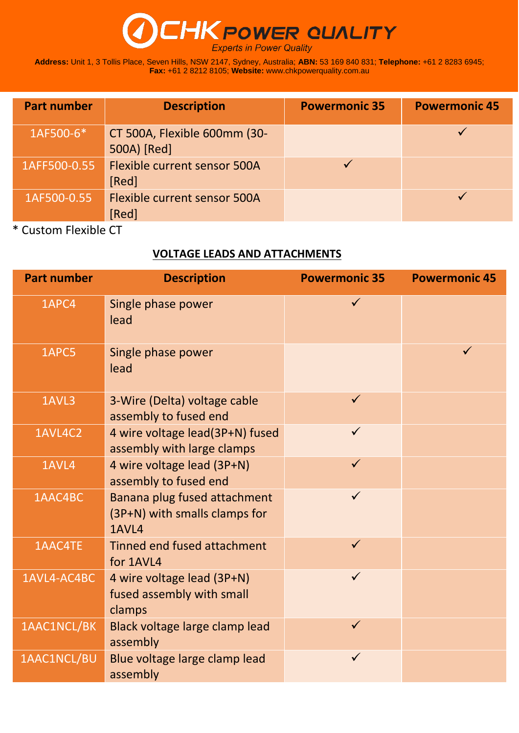## **POWER QUALITY**

**Address:** Unit 1, 3 Tollis Place, Seven Hills, NSW 2147, Sydney, Australia; **ABN:** 53 169 840 831; **Telephone:** +61 2 8283 6945; **Fax:** +61 2 8212 8105; **Website:** [www.chkpowerquality.com.au](http://www.chkpowerquality.com.au/)

| <b>Part number</b> | <b>Description</b>                           | <b>Powermonic 35</b> | <b>Powermonic 45</b> |
|--------------------|----------------------------------------------|----------------------|----------------------|
| 1AF500-6*          | CT 500A, Flexible 600mm (30-<br>500A) [Red]  |                      |                      |
| 1AFF500-0.55       | <b>Flexible current sensor 500A</b><br>[Red] |                      |                      |
| 1AF500-0.55        | <b>Flexible current sensor 500A</b><br>[Red] |                      |                      |

\* Custom Flexible CT

#### **VOLTAGE LEADS AND ATTACHMENTS**

| <b>Part number</b> | <b>Description</b>                                                     | <b>Powermonic 35</b> | <b>Powermonic 45</b> |
|--------------------|------------------------------------------------------------------------|----------------------|----------------------|
| 1APC4              | Single phase power<br>lead                                             | $\checkmark$         |                      |
| 1APC5              | Single phase power<br>lead                                             |                      | $\checkmark$         |
| 1AVL3              | 3-Wire (Delta) voltage cable<br>assembly to fused end                  | $\checkmark$         |                      |
| 1AVL4C2            | 4 wire voltage lead(3P+N) fused<br>assembly with large clamps          | $\checkmark$         |                      |
| 1AVL4              | 4 wire voltage lead (3P+N)<br>assembly to fused end                    | $\checkmark$         |                      |
| 1AAC4BC            | Banana plug fused attachment<br>(3P+N) with smalls clamps for<br>1AVL4 | $\checkmark$         |                      |
| 1AAC4TE            | Tinned end fused attachment<br>for 1AVL4                               | $\checkmark$         |                      |
| 1AVL4-AC4BC        | 4 wire voltage lead (3P+N)<br>fused assembly with small<br>clamps      | $\checkmark$         |                      |
| 1AAC1NCL/BK        | Black voltage large clamp lead<br>assembly                             | $\checkmark$         |                      |
| 1AAC1NCL/BU        | Blue voltage large clamp lead<br>assembly                              | $\checkmark$         |                      |